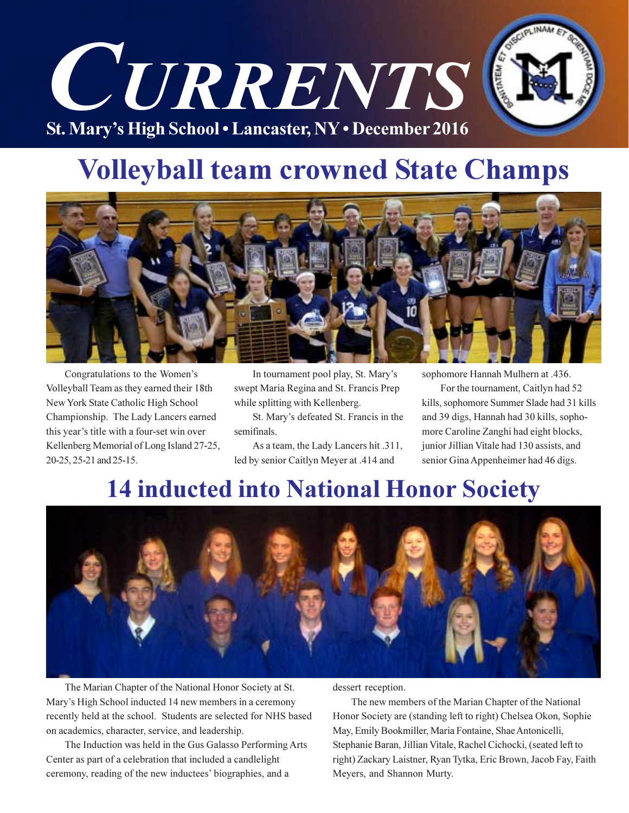

## **Volleyball team crowned State Champs**



Congratulations to the Women's Volleyball Team as they earned their 18th New York State Catholic High School Championship. The Lady Lancers earned this year's title with a four-set win over Kellenberg Memorial of Long Island 27-25, 20-25, 25-21 and 25-15.

In tournament pool play, St. Mary's swept Maria Regina and St. Francis Prep while splitting with Kellenberg.

St. Mary's defeated St. Francis in the semifinals.

As a team, the Lady Lancers hit .311, led by senior Caitlyn Meyer at .414 and

sophomore Hannah Mulhern at .436.

For the tournament, Caitlyn had 52 kills, sophomore Summer Slade had 31 kills and 39 digs, Hannah had 30 kills, sophomore Caroline Zanghi had eight blocks, junior Jillian Vitale had 130 assists, and senior Gina Appenheimer had 46 digs.

## **14 inducted into National Honor Society**



The Marian Chapter of the National Honor Society at St. Mary's High School inducted 14 new members in a ceremony recently held at the school. Students are selected for NHS based on academics, character, service, and leadership.

The Induction was held in the Gus Galasso Performing Arts Center as part of a celebration that included a candlelight ceremony, reading of the new inductees' biographies, and a

dessert reception.

The new members of the Marian Chapter of the National Honor Society are (standing left to right) Chelsea Okon, Sophie May, Emily Bookmiller, Maria Fontaine, Shae Antonicelli, Stephanie Baran, Jillian Vitale, Rachel Cichocki, (seated left to right) Zackary Laistner, Ryan Tytka, Eric Brown, Jacob Fay, Faith Meyers, and Shannon Murty.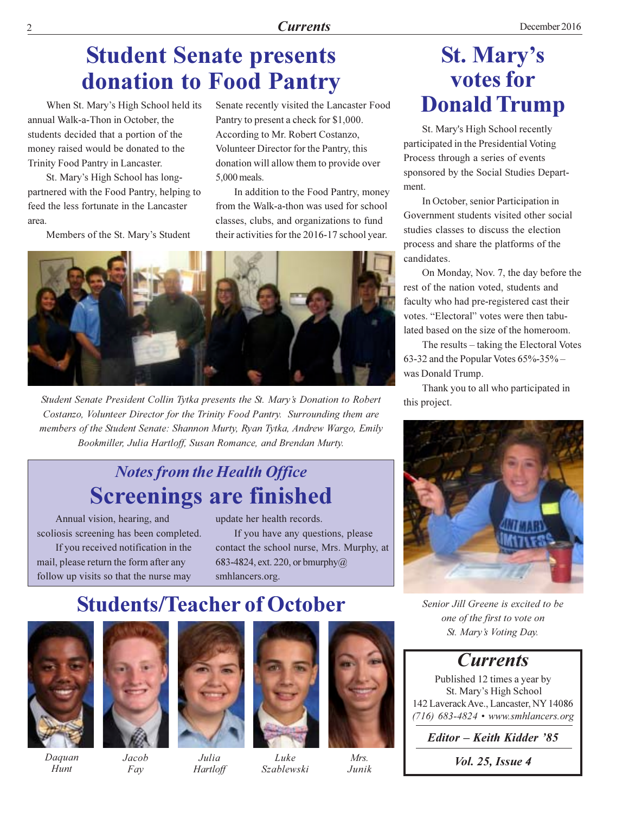## **Student Senate presents** donation to Food Pantry

When St. Mary's High School held its annual Walk-a-Thon in October, the students decided that a portion of the money raised would be donated to the Trinity Food Pantry in Lancaster.

St. Mary's High School has longpartnered with the Food Pantry, helping to feed the less fortunate in the Lancaster area

Members of the St. Mary's Student

Senate recently visited the Lancaster Food Pantry to present a check for \$1,000. According to Mr. Robert Costanzo, Volunteer Director for the Pantry, this donation will allow them to provide over 5,000 meals.

In addition to the Food Pantry, money from the Walk-a-thon was used for school classes, clubs, and organizations to fund their activities for the 2016-17 school year.



Student Senate President Collin Tytka presents the St. Mary's Donation to Robert Costanzo, Volunteer Director for the Trinity Food Pantry. Surrounding them are members of the Student Senate: Shannon Murty, Ryan Tytka, Andrew Wargo, Emily Bookmiller, Julia Hartloff, Susan Romance, and Brendan Murty.

### **Notes from the Health Office Screenings are finished**

Annual vision, hearing, and scoliosis screening has been completed.

If you received notification in the mail, please return the form after any follow up visits so that the nurse may update her health records.

If you have any questions, please contact the school nurse, Mrs. Murphy, at 683-4824, ext. 220, or bmurphy $@$ smhlancers.org.

## **Students/Teacher of October**

Julia

Hartloff



Daguan Hunt



 $Jacob$ Fay



 $Iuko$ 

Szablewski



 $M_{\rm F}$ s Junik

### **St. Mary's** votes for **Donald Trump**

St. Mary's High School recently participated in the Presidential Voting Process through a series of events sponsored by the Social Studies Department.

In October, senior Participation in Government students visited other social studies classes to discuss the election process and share the platforms of the candidates.

On Monday, Nov. 7, the day before the rest of the nation voted, students and faculty who had pre-registered cast their votes. "Electoral" votes were then tabulated based on the size of the homeroom.

The results – taking the Electoral Votes 63-32 and the Popular Votes 65%-35% was Donald Trump.

Thank you to all who participated in this project.



Senior Jill Greene is excited to be one of the first to vote on St. Mary's Voting Day.

### **Currents**

Published 12 times a year by St. Mary's High School 142 Laverack Ave., Lancaster, NY 14086  $(716)$  683-4824 • www.smhlancers.org

Editor – Keith Kidder '85

*Vol. 25, Issue 4*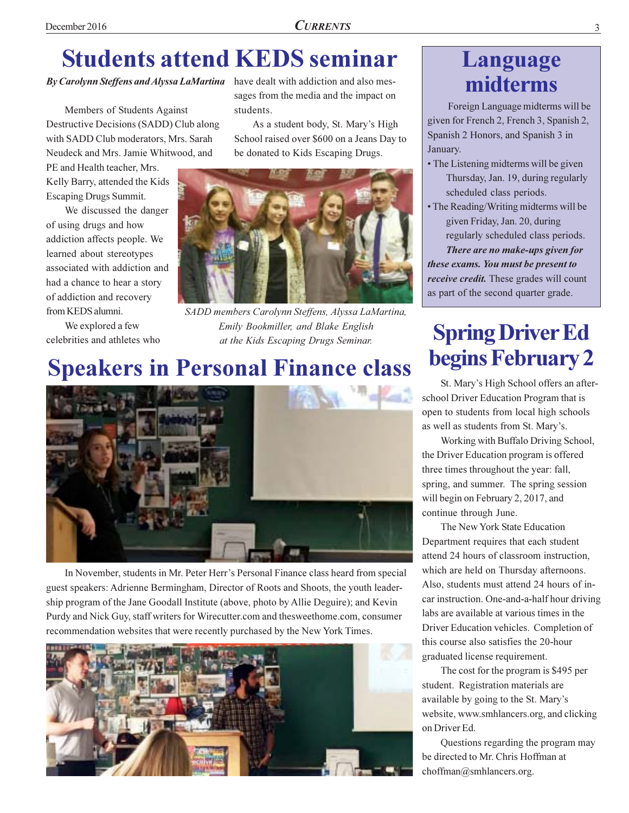## **Students attend KEDS seminar**

### By Carolynn Steffens and Alyssa LaMartina have dealt with addiction and also mes-

Members of Students Against Destructive Decisions (SADD) Club along with SADD Club moderators, Mrs. Sarah Neudeck and Mrs. Jamie Whitwood, and

PE and Health teacher, Mrs. Kelly Barry, attended the Kids **Escaping Drugs Summit.** 

We discussed the danger of using drugs and how addiction affects people. We learned about stereotypes associated with addiction and had a chance to hear a story of addiction and recovery from KEDS alumni.

We explored a few celebrities and athletes who sages from the media and the impact on students.

As a student body, St. Mary's High School raised over \$600 on a Jeans Day to be donated to Kids Escaping Drugs.



SADD members Carolynn Steffens, Alyssa LaMartina, Emily Bookmiller, and Blake English at the Kids Escaping Drugs Seminar.

### **Speakers in Personal Finance class**



In November, students in Mr. Peter Herr's Personal Finance class heard from special guest speakers: Adrienne Bermingham, Director of Roots and Shoots, the youth leadership program of the Jane Goodall Institute (above, photo by Allie Deguire); and Kevin Purdy and Nick Guy, staff writers for Wirecutter.com and thesweethome.com, consumer recommendation websites that were recently purchased by the New York Times.



### Language midterms

Foreign Language midterms will be given for French 2, French 3, Spanish 2, Spanish 2 Honors, and Spanish 3 in January.

- The Listening midterms will be given Thursday, Jan. 19, during regularly scheduled class periods.
- The Reading/Writing midterms will be given Friday, Jan. 20, during regularly scheduled class periods. There are no make-ups given for

these exams. You must be present to *receive credit*. These grades will count as part of the second quarter grade.

## **Spring Driver Ed** begins February 2

St. Mary's High School offers an afterschool Driver Education Program that is open to students from local high schools as well as students from St. Mary's.

Working with Buffalo Driving School, the Driver Education program is offered three times throughout the year: fall, spring, and summer. The spring session will begin on February 2, 2017, and continue through June.

The New York State Education Department requires that each student attend 24 hours of classroom instruction, which are held on Thursday afternoons. Also, students must attend 24 hours of incar instruction. One-and-a-half hour driving labs are available at various times in the Driver Education vehicles. Completion of this course also satisfies the 20-hour graduated license requirement.

The cost for the program is \$495 per student. Registration materials are available by going to the St. Mary's website, www.smhlancers.org, and clicking on Driver Ed.

Questions regarding the program may be directed to Mr. Chris Hoffman at choffman@smhlancers.org.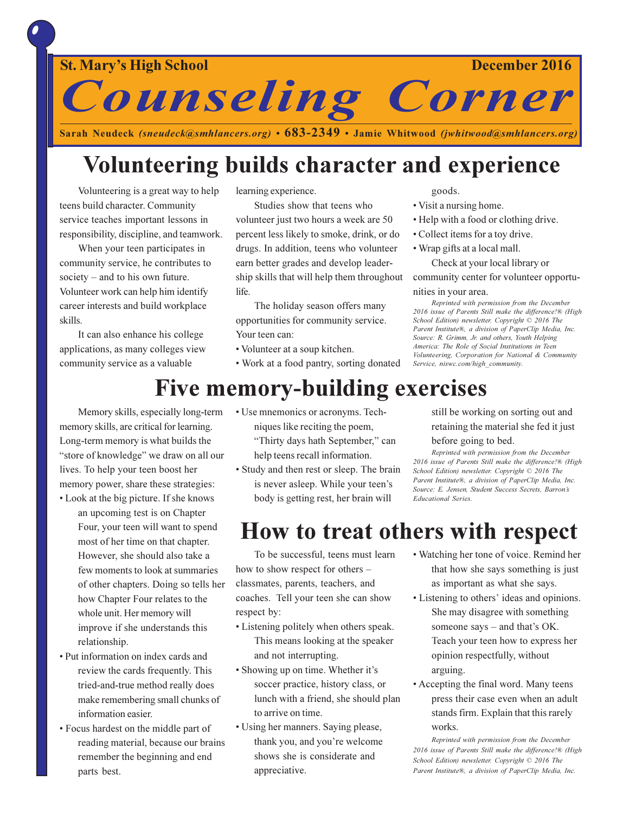

December 2016

**Counseling Corner** Sarah Neudeck (sneudeck@smhlancers.org) • 683-2349 • Jamie Whitwood (jwhitwood@smhlancers.org)

## Volunteering builds character and experience

Volunteering is a great way to help teens build character. Community service teaches important lessons in responsibility, discipline, and teamwork.

When your teen participates in community service, he contributes to society  $-$  and to his own future. Volunteer work can help him identify career interests and build workplace skills.

It can also enhance his college applications, as many colleges view community service as a valuable

learning experience.

Studies show that teens who volunteer just two hours a week are 50 percent less likely to smoke, drink, or do drugs. In addition, teens who volunteer earn better grades and develop leadership skills that will help them throughout life.

The holiday season offers many opportunities for community service. Your teen can:

- Volunteer at a soup kitchen.
- Work at a food pantry, sorting donated

### goods.

- Visit a nursing home.
- Help with a food or clothing drive.
- Collect items for a toy drive.
- Wrap gifts at a local mall.

Check at your local library or community center for volunteer opportu-

### nities in your area.

Reprinted with permission from the December 2016 issue of Parents Still make the difference!® (High School Edition) newsletter. Copyright © 2016 The Parent Institute®, a division of PaperClip Media, Inc. Source: R. Grimm, Jr. and others, Youth Helping America: The Role of Social Institutions in Teen Volunteering, Corporation for National & Community Service, niswc.com/high community.

### **Five memory-building exercises**

Memory skills, especially long-term memory skills, are critical for learning. Long-term memory is what builds the "store of knowledge" we draw on all our lives. To help your teen boost her memory power, share these strategies:

- Look at the big picture. If she knows an upcoming test is on Chapter Four, your teen will want to spend most of her time on that chapter. However, she should also take a few moments to look at summaries of other chapters. Doing so tells her how Chapter Four relates to the whole unit. Her memory will improve if she understands this relationship.
- Put information on index cards and review the cards frequently. This tried-and-true method really does make remembering small chunks of information easier.
- Focus hardest on the middle part of reading material, because our brains remember the beginning and end parts best.
- Use mnemonics or acronyms. Techniques like reciting the poem, "Thirty days hath September," can help teens recall information.
- Study and then rest or sleep. The brain is never asleep. While your teen's body is getting rest, her brain will

still be working on sorting out and retaining the material she fed it just

### before going to bed.

Reprinted with permission from the December 2016 issue of Parents Still make the difference!® (High School Edition) newsletter. Copyright © 2016 The Parent Institute®, a division of PaperClip Media, Inc. Source: E. Jensen, Student Success Secrets, Barron's **Educational Series.** 

### How to treat others with respect

To be successful, teens must learn how to show respect for others classmates, parents, teachers, and coaches. Tell your teen she can show respect by:

- Listening politely when others speak. This means looking at the speaker and not interrupting.
- Showing up on time. Whether it's soccer practice, history class, or lunch with a friend, she should plan to arrive on time.
- Using her manners. Saying please, thank you, and you're welcome shows she is considerate and appreciative.
- Watching her tone of voice. Remind her that how she says something is just as important as what she says.
- Listening to others' ideas and opinions. She may disagree with something someone says – and that's OK. Teach your teen how to express her opinion respectfully, without arguing.
- Accepting the final word. Many teens press their case even when an adult stands firm. Explain that this rarely works.

Reprinted with permission from the December 2016 issue of Parents Still make the difference!® (High School Edition) newsletter. Copyright © 2016 The Parent Institute®, a division of PaperClip Media, Inc.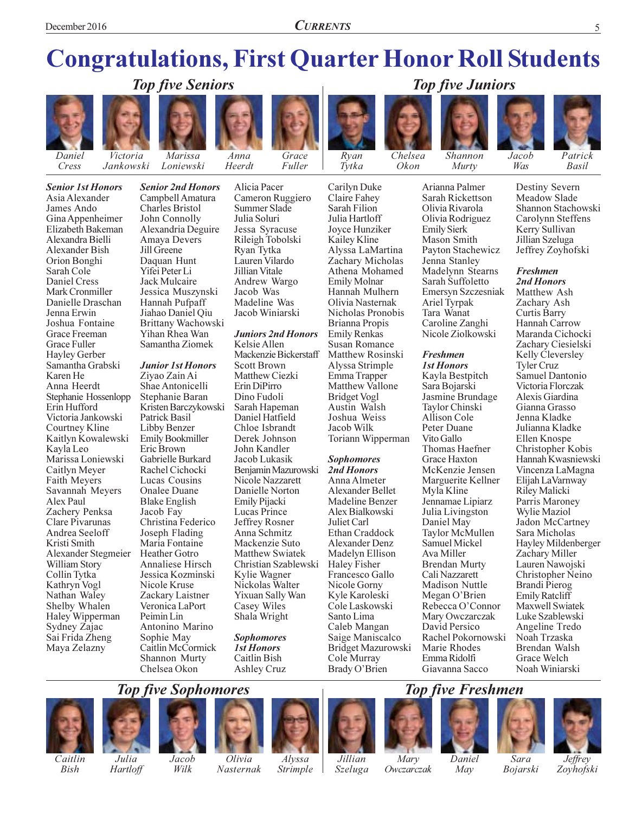## **Congratulations, First Quarter Honor Roll Students**



Cress



Victoria Jankowski

**Senior 1st Honors** Asia Alexander James Ando Gina Appenheimer Elizabeth Bakeman Alexandra Bielli Alexander Bish Orion Bonghi Sarah Cole **Daniel Cress** Mark Cronmiller Danielle Draschan Jenna Erwin Joshua Fontaine Grace Freeman Grace Fuller Hayley Gerber Samantha Grabski Karen He Anna Heerdt Stephanie Hossenlopp Erin Hufford Victoria Jankowski Courtney Kline Kaitlyn Kowalewski Kayla Leo Marissa Loniewski Caitlyn Meyer Faith Meyers Savannah Meyers Alex Paul Zachery Penksa Clare Pivarunas Andrea Seeloff Kristi Smith Alexander Stegmeier William Story Collin Tytka Kathryn Vogl Nathan Waley Shelby Whalen Haley Wipperman Sydney Zajac Sai Frida Zheng Maya Zelazny

Marissa Loniewski Campbell Amatura Charles Bristol John Connolly Amaya Devers Jill Greene Daguan Hunt

Anna

Alicia Pacer

Cameron Ruggiero

Heerdt



Grace Fuller



Carilyn Duke

Claire Fahey

Sarah Filion

Julia Hartloff

Chelsea Okon



Murty

Arianna Palmer

**Top five Juniors** 

Jacob Was

Patrick

**Basil** 

**Senior 2nd Honors** Alexandria Deguire Yifei Peter Li **Jack Mulcaire** Jessica Muszynski Hannah Pufpaff Jiahao Daniel Qiu Brittany Wachowski Yihan Rhea Wan Samantha Ziomek

### **Junior 1st Honors**

Ziyao Zain Ai Shae Antonicelli Stephanie Baran Kristen Barczykowski Patrick Basil Libby Benzer Emily Bookmiller Eric Brown Gabrielle Burkard Rachel Cichocki Lucas Cousins **Onalee Duane Blake English** Jacob Fay Christina Federico Joseph Flading Maria Fontaine Heather Gotro **Annaliese Hirsch** Jessica Kozminski Nicole Kruse Zackary Laistner Veronica LaPort Peimin Lin Antonino Marino Sophie May Caitlin McCormick Shannon Murty Chelsea Okon

Summer Slade Julia Soluri Jessa Syracuse Rileigh Tobolski Ryan Tytka Lauren Vilardo Jillian Vitale Andrew Wargo Jacob Was Madeline Was Jacob Winiarski

### **Juniors 2nd Honors**

Kelsie Allen Mackenzie Bickerstaff **Scott Brown** Matthew Ciezki Erin DiPirro Dino Fudoli Sarah Hapeman Daniel Hatfield Chloe Isbrandt Derek Johnson John Kandler Jacob Lukasik Benjamin Mazurowski Nicole Nazzarett Danielle Norton Emily Pijacki Lucas Prince Jeffrey Rosner Anna Schmitz Mackenzie Suto Matthew Swiatek Christian Szablewski Kylie Wagner Nickolas Walter Yixuan Sally Wan Casey Wiles Shala Wright

**Sophomores 1st Honors** Caitlin Bish **Ashley Cruz** 

Jovce Hunziker Kailey Kline Alyssa LaMartina Zachary Micholas Athena Mohamed **Emily Molnar** Hannah Mulhern Olivia Nasternak Nicholas Pronobis **Brianna Propis Emily Renkas Susan Romance** Matthew Rosinski Alyssa Strimple Emma Trapper **Matthew Vallone Bridget Vogl** Austin Walsh Joshua Weiss Jacob Wilk

### **Sophomores**

Anna Almeter **Alexander Bellet** Madeline Benzer Alex Bialkowski Juliet Carl Ethan Craddock **Alexander Denz** Madelyn Ellison Haley Fisher Francesco Gallo Nicole Gorny Kyle Karoleski Cole Laskowski Santo Lima Caleb Mangan Saige Maniscalco Bridget Mazurowski Cole Murray Brady O'Brien

Sarah Rickettson Olivia Rivarola Olivia Rodriguez **Emily Sierk** Mason Smith Payton Stachewicz Jenna Stanley Madelynn Stearns Sarah Suffoletto Emersyn Szczesniak Ariel Tyrpak Tara Wanat Caroline Zanghi Nicole Ziolkowski

### **Freshmen**

**1st Honors** Kayla Bestpitch Sara Bojarski Jasmine Brundage Taylor Chinski Allison Cole Peter Duane Vito Gallo Thomas Haefner **Grace Haxton** McKenzie Jensen Marguerite Kellner Myla Kline Jennamae Lipiarz Julia Livingston Daniel May Taylor McMullen Samuel Mickel Ava Miller **Brendan Murty** Cali Nazzarett **Madison Nuttle** Megan O'Brien Rebecca O'Connor Mary Owczarczak David Persico Rachel Pokornowski Marie Rhodes Emma Ridolfi Giavanna Sacco

Destiny Severn Meadow Slade Shannon Stachowski Carolynn Steffens Kerry Sullivan Jillian Szeluga Jeffrey Zoyhofski

### **Freshmen** 2nd Honors

Matthew Ash Zachary Ash Curtis Barry Hannah Carrow Maranda Cichocki Zachary Ciesielski Kelly Cleversley **Tyler Cruz** Samuel Dantonio Victoria Florczak Alexis Giardina Gianna Grasso Jenna Kladke Julianna Kladke Ellen Knospe Christopher Kobis Hannah Kwasniewski Vincenza LaMagna Elijah LaVarnway Riley Malicki Parris Maroney Wylie Maziol Jadon McCartney Sara Micholas Hayley Mildenberger Zachary Miller Lauren Nawojski Christopher Neino Brandi Pierog **Emily Ratcliff** Maxwell Swiatek Luke Szablewski Angeline Tredo Noah Trzaska Brendan Walsh Grace Welch Noah Winiarski

### **Top five Freshmen**









Caitlin Bish

Julia Hartloff Jacob Wilk

**Top five Sophomores** 

Olivia Nasternak

Alvssa *Strimple* 

Jillian Szeluga

Mary Owczarczak Daniel May

Sara **Bojarski**  Zovhofski



Toriann Wipperman 2nd Honors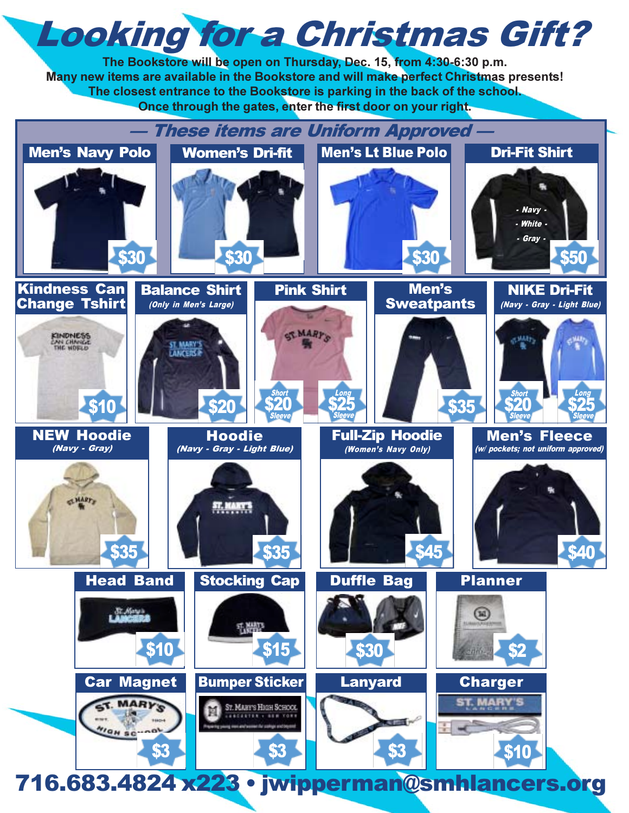# **Looking for a Christmas Gift?**

The Bookstore will be open on Thursday, Dec. 15, from 4:30-6:30 p.m. Many new items are available in the Bookstore and will make perfect Christmas presents! The closest entrance to the Bookstore is parking in the back of the school. Once through the gates, enter the first door on your right.

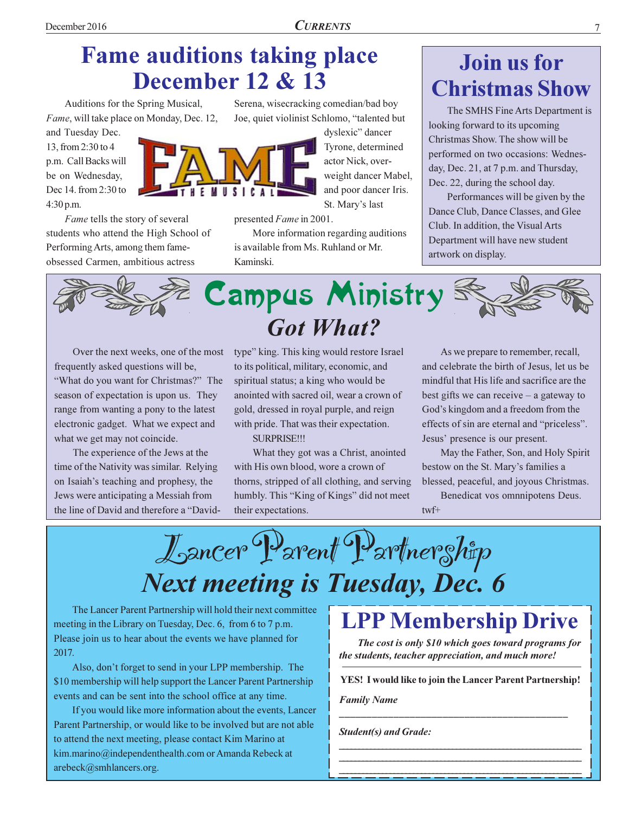## **Fame auditions taking place December 12 & 13**

Auditions for the Spring Musical, Fame, will take place on Monday, Dec. 12,

and Tuesday Dec. 13, from 2:30 to 4 p.m. Call Backs will be on Wednesday, Dec 14. from 2:30 to 4:30 p.m.

Fame tells the story of several students who attend the High School of Performing Arts, among them fameobsessed Carmen, ambitious actress

Serena, wisecracking comedian/bad boy Joe, quiet violinist Schlomo, "talented but

> dyslexic" dancer Tyrone, determined actor Nick, overweight dancer Mabel, and poor dancer Iris. St. Mary's last

presented Fame in 2001.

More information regarding auditions is available from Ms. Ruhland or Mr. Kaminski.

## Join us for **Christmas Show**

The SMHS Fine Arts Department is looking forward to its upcoming Christmas Show. The show will be performed on two occasions: Wednesday, Dec. 21, at 7 p.m. and Thursday, Dec. 22, during the school day.

Performances will be given by the Dance Club, Dance Classes, and Glee Club. In addition, the Visual Arts Department will have new student artwork on display.



Over the next weeks, one of the most frequently asked questions will be, "What do you want for Christmas?" The season of expectation is upon us. They range from wanting a pony to the latest electronic gadget. What we expect and what we get may not coincide.

The experience of the Jews at the time of the Nativity was similar. Relying on Isaiah's teaching and prophesy, the Jews were anticipating a Messiah from the line of David and therefore a "David-

type" king. This king would restore Israel to its political, military, economic, and spiritual status; a king who would be anointed with sacred oil, wear a crown of gold, dressed in royal purple, and reign with pride. That was their expectation.

**SURPRISE!!!** 

What they got was a Christ, anointed with His own blood, wore a crown of thorns, stripped of all clothing, and serving humbly. This "King of Kings" did not meet their expectations.

As we prepare to remember, recall, and celebrate the birth of Jesus, let us be mindful that His life and sacrifice are the best gifts we can receive  $-$  a gateway to God's kingdom and a freedom from the effects of sin are eternal and "priceless". Jesus' presence is our present.

May the Father, Son, and Holy Spirit bestow on the St. Mary's families a blessed, peaceful, and joyous Christmas.

Benedicat vos omnnipotens Deus.  $twf+$ 

Lancer Parent Partnership **Next meeting is Tuesday, Dec. 6** 

The Lancer Parent Partnership will hold their next committee meeting in the Library on Tuesday, Dec. 6, from 6 to 7 p.m. Please join us to hear about the events we have planned for 2017.

Also, don't forget to send in your LPP membership. The \$10 membership will help support the Lancer Parent Partnership events and can be sent into the school office at any time.

If you would like more information about the events, Lancer Parent Partnership, or would like to be involved but are not able to attend the next meeting, please contact Kim Marino at kim.marino@independenthealth.com or Amanda Rebeck at arebeck@smhlancers.org.

## **LPP Membership Drive**

The cost is only \$10 which goes toward programs for the students, teacher appreciation, and much more!

**YES! I would like to join the Lancer Parent Partnership!** 

**Family Name** 

**Student(s) and Grade:** 

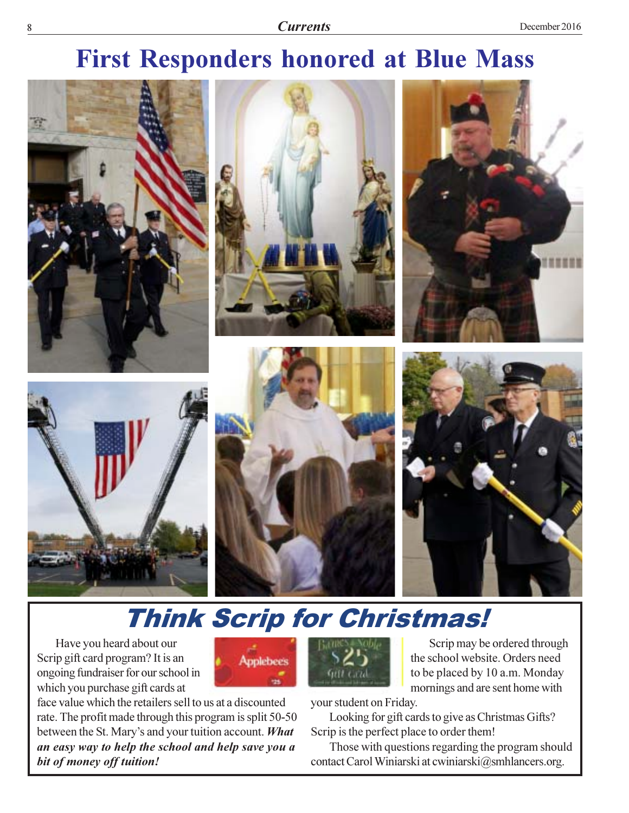## **First Responders honored at Blue Mass**



## **Think Scrip for Christmas!**

**Applebees** 

Have you heard about our Scrip gift card program? It is an ongoing fundraiser for our school in which you purchase gift cards at

face value which the retailers sell to us at a discounted rate. The profit made through this program is split 50-50 between the St. Mary's and your tuition account. What an easy way to help the school and help save you a bit of money off tuition!



Scrip may be ordered through the school website. Orders need to be placed by 10 a.m. Monday mornings and are sent home with

your student on Friday.

Looking for gift cards to give as Christmas Gifts? Scrip is the perfect place to order them!

Those with questions regarding the program should contact Carol Winiarski at cwiniarski@smhlancers.org.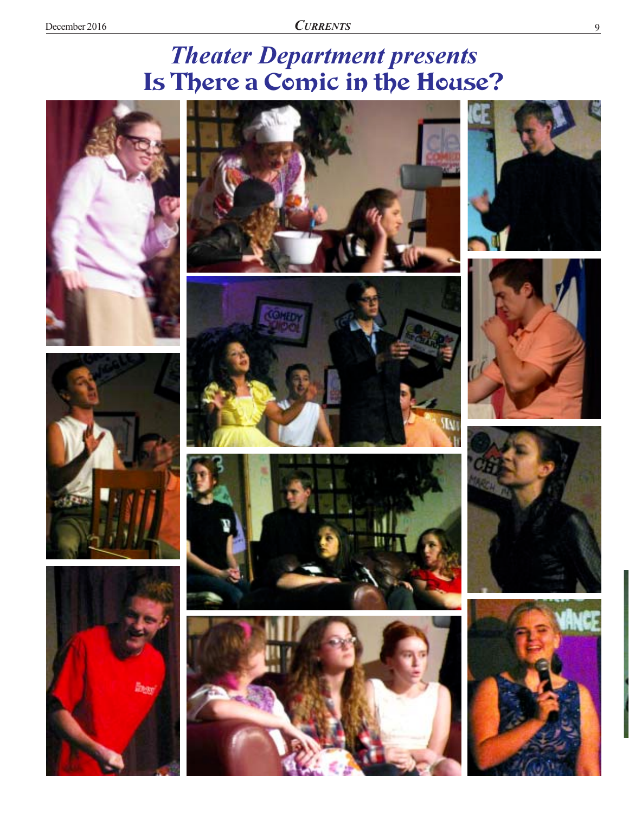## **Theater Department presents** Is There a Comic in the House?





















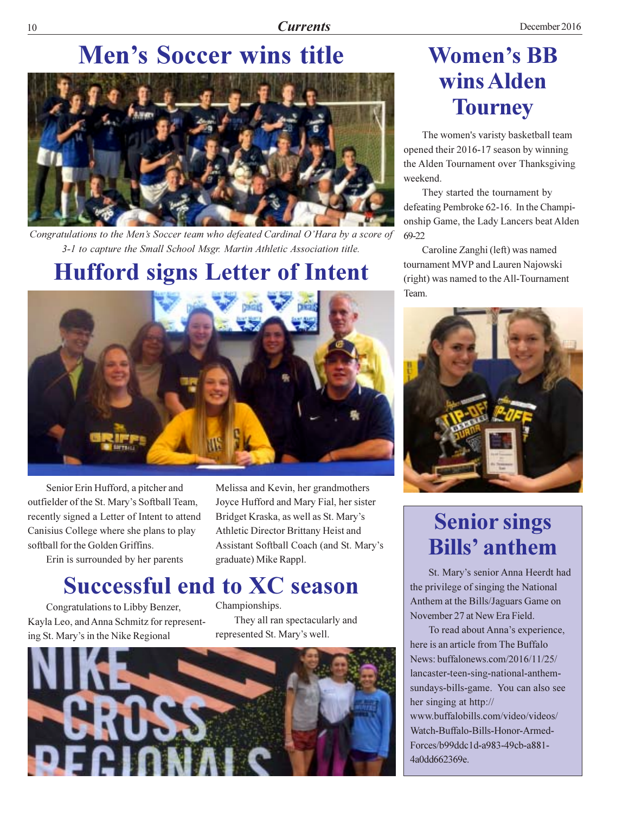## **Men's Soccer wins title**



Congratulations to the Men's Soccer team who defeated Cardinal O'Hara by a score of 3-1 to capture the Small School Msgr. Martin Athletic Association title.

## **Hufford signs Letter of Intent**



Senior Erin Hufford, a pitcher and outfielder of the St. Mary's Softball Team, recently signed a Letter of Intent to attend Canisius College where she plans to play softball for the Golden Griffins.

Erin is surrounded by her parents

Melissa and Kevin, her grandmothers Joyce Hufford and Mary Fial, her sister Bridget Kraska, as well as St. Mary's Athletic Director Brittany Heist and Assistant Softball Coach (and St. Mary's graduate) Mike Rappl.

## **Successful end to XC season**

Congratulations to Libby Benzer, Kayla Leo, and Anna Schmitz for representing St. Mary's in the Nike Regional

Championships. They all ran spectacularly and represented St. Mary's well.



## **Women's BB** wins Alden **Tourney**

The women's varisty basketball team opened their 2016-17 season by winning the Alden Tournament over Thanksgiving weekend.

They started the tournament by defeating Pembroke 62-16. In the Championship Game, the Lady Lancers beat Alden  $69 - 22$ 

Caroline Zanghi (left) was named tournament MVP and Lauren Najowski (right) was named to the All-Tournament Team.



## **Senior sings Bills'** anthem

St. Mary's senior Anna Heerdt had the privilege of singing the National Anthem at the Bills/Jaguars Game on November 27 at New Era Field.

To read about Anna's experience, here is an article from The Buffalo News: buffalonews.com/2016/11/25/ lancaster-teen-sing-national-anthemsundays-bills-game. You can also see her singing at http:// www.buffalobills.com/video/videos/ Watch-Buffalo-Bills-Honor-Armed-Forces/b99ddc1d-a983-49cb-a881-4a0dd662369e.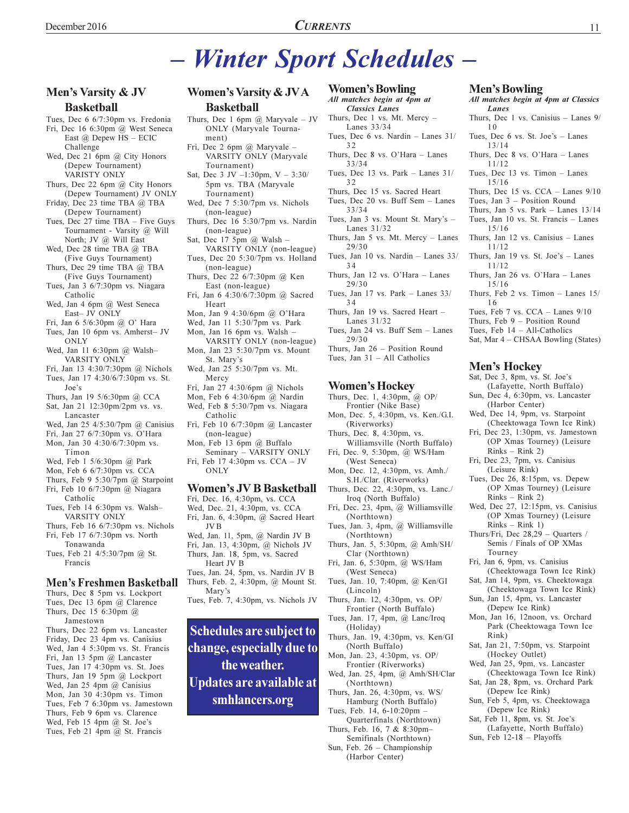### Men's Varsity & JV **Basketball**

- Tues, Dec 6 6/7:30pm vs. Fredonia Fri, Dec 16 6:30pm @ West Seneca East  $\omega$  Depew HS - ECIC Challenge
- Wed, Dec 21 6pm @ City Honors (Depew Tournament) VARISTY ONLY
- Thurs, Dec 22 6pm @ City Honors (Depew Tournament) JV ONLY
- Friday, Dec 23 time TBA @ TBA (Depew Tournament)
- Tues, Dec 27 time TBA Five Guys Tournament - Varsity @ Will North; JV @ Will East
- Wed, Dec 28 time TBA @ TBA (Five Guvs Tournament)
- Thurs, Dec 29 time TBA @ TBA (Five Guys Tournament)
- Tues, Jan 3 6/7:30pm vs. Niagara Catholic
- Wed, Jan 4 6pm @ West Seneca East- JV ONLY
- Fri, Jan 6 5/6:30pm @ O' Hara
- Tues, Jan 10 6pm vs. Amherst- JV ONLY
- Wed, Jan 11 6:30pm @ Walsh-VARSITY ONLY
- Fri, Jan 13 4:30/7:30pm @ Nichols Tues, Jan 17 4:30/6/7:30pm vs. St.  $Joe's$
- Thurs, Jan 19 5/6:30pm @ CCA
- Sat, Jan 21 12:30pm/2pm vs. vs. Lancaster
- Wed, Jan 25 4/5:30/7pm @ Canisius
- Fri, Jan 27 6/7:30pm vs. O'Hara Mon, Jan 30 4:30/6/7:30pm vs.
- Timon
- Wed, Feb 1 5/6:30pm @ Park
- Mon, Feb 6 6/7:30pm vs. CCA
- Thurs, Feb 9 5:30/7pm  $@$  Starpoint Fri, Feb 10 6/7:30pm @ Niagara
- Catholic
- Tues, Feb 14 6:30pm vs. Walsh-VARSITY ONLY
- Thurs, Feb 16 6/7:30pm vs. Nichols Fri, Feb 17 6/7:30pm vs. North
- Tonawanda Tues, Feb 21 4/5:30/7pm @ St. Francis

### **Men's Freshmen Basketball**

- Thurs, Dec 8 5pm vs. Lockport Tues, Dec 13 6pm @ Clarence Thurs, Dec 15 6:30pm @ Jamestown
- Thurs, Dec 22 6pm vs. Lancaster Friday, Dec 23 4pm vs. Canisius Wed, Jan 4 5:30pm vs. St. Francis Fri, Jan 13 5pm @ Lancaster Tues, Jan 17 4:30pm vs. St. Joes Thurs, Jan 19 5pm @ Lockport Wed, Jan 25 4pm  $(a)$  Canisius Mon, Jan 30 4:30pm vs. Timon Tues, Feb 7 6:30pm vs. Jamestown Thurs, Feb 9 6pm vs. Clarence Wed, Feb 15 4pm @ St. Joe's Tues, Feb 21 4pm @ St. Francis

### **Women's Varsity & JVA Basketball**

- Thurs, Dec 1 6pm  $\omega$  Maryvale JV ONLY (Maryvale Tournament)
- Fri, Dec 2 6pm @ Maryvale -VARSITY ONLY (Maryvale Tournament)
- Sat, Dec 3 JV  $-1:30 \text{pm}$ , V  $-3:30/$ 5pm vs. TBA (Maryvale Tournament)
- Wed, Dec 7 5:30/7pm vs. Nichols (non-league)
- Thurs, Dec 16 5:30/7pm vs. Nardin (non-league)
- Sat, Dec 17 5pm  $@$  Walsh -VARSITY ONLY (non-league)
- Tues, Dec 20 5:30/7pm vs. Holland (non-league)
- Thurs, Dec 22 6/7:30pm @ Ken East (non-league)
- Fri, Jan 6 4:30/6/7:30pm @ Sacred Heart
- Mon, Jan 9 4:30/6pm @ O'Hara
- Wed, Jan 11 5:30/7pm vs. Park
- Mon, Jan 16 6pm vs. Walsh -VARSITY ONLY (non-league)
- Mon, Jan 23 5:30/7pm vs. Mount St. Mary's
- Wed, Jan 25 5:30/7pm vs. Mt. Mercy
- Fri, Jan 27 4:30/6pm @ Nichols Mon, Feb 6 4:30/6pm @ Nardin Wed, Feb 8 5:30/7pm vs. Niagara
- Catholic
- Fri, Feb 10 6/7:30pm @ Lancaster (non-league)
- Mon, Feb 13 6pm @ Buffalo Seminary - VARSITY ONLY
- Fri, Feb 17 4:30pm vs. CCA JV ONLY

### **Women's JV B Basketball**

- Fri, Dec. 16, 4:30pm, vs. CCA Wed, Dec. 21, 4:30pm, vs. CCA Fri, Jan. 6, 4:30pm, @ Sacred Heart JV<sub>B</sub> Wed, Jan. 11, 5pm, @ Nardin JV B Fri, Jan. 13, 4:30pm, @ Nichols JV Thurs, Jan. 18, 5pm, vs. Sacred Heart JV B
- Tues, Jan. 24, 5pm, vs. Nardin JV B Thurs, Feb. 2, 4:30pm, @ Mount St. Mary's
- Tues, Feb. 7, 4:30pm, vs. Nichols JV

Schedules are subject to change, especially due to the weather. Updates are available at smhlancers.org

### **Women's Bowling**

### All matches begin at 4pm at **Classics Lanes**

- Thurs, Dec 1 vs. Mt. Mercy -Lanes 33/34
- Tues, Dec 6 vs. Nardin Lanes 31/  $32$
- Thurs, Dec 8 vs. O'Hara Lanes  $33/34$
- Tues, Dec 13 vs. Park Lanes  $31/$  $32$
- Thurs, Dec 15 vs. Sacred Heart
- Tues, Dec 20 vs. Buff Sem Lanes  $33/34$
- Tues, Jan 3 vs. Mount St. Mary's -Lanes 31/32
- Thurs, Jan 5 vs. Mt. Mercy Lanes  $29/30$
- Tues, Jan 10 vs. Nardin Lanes 33/  $34$
- Thurs, Jan 12 vs. O'Hara Lanes  $29/30$
- Tues, Jan 17 vs. Park Lanes  $33/$  $34$
- Thurs, Jan 19 vs. Sacred Heart -Lanes  $31/32$
- Tues, Jan 24 vs. Buff Sem Lanes  $29/30$

Thurs, Jan 26 - Position Round Tues, Jan  $31 - All$  Catholics

### **Women's Hockey**

- Thurs, Dec. 1, 4:30pm, @ OP/
- Frontier (Nike Base) Mon, Dec. 5, 4:30pm, vs. Ken./G.I. (Riverworks)
- Thurs, Dec. 8, 4:30pm, vs.
- Williamsville (North Buffalo) Fri, Dec. 9, 5:30pm, @ WS/Ham
- (West Seneca)
- Mon, Dec. 12, 4:30pm, vs. Amh./ S.H./Clar. (Riverworks)
- Thurs, Dec. 22, 4:30pm, vs. Lanc./ Iroq (North Buffalo)
- Fri, Dec. 23, 4pm, @ Williamsville (Northtown)
- Tues, Jan. 3, 4pm, @ Williamsville (Northtown)
- Thurs, Jan. 5, 5:30pm, @ Amh/SH/ Clar (Northtown)
- Fri, Jan. 6, 5:30pm, @ WS/Ham (West Seneca)
- Tues, Jan. 10, 7:40pm, @ Ken/GI (Lincoln)
- Thurs, Jan. 12, 4:30pm, vs. OP/ Frontier (North Buffalo)
- Tues, Jan. 17, 4pm, @ Lanc/Iroq (Holiday)
- Thurs, Jan. 19, 4:30pm, vs. Ken/GI (North Buffalo)
- Mon, Jan. 23, 4:30pm, vs. OP/ Frontier (Riverworks)
- Wed, Jan. 25, 4pm, @ Amh/SH/Clar (Northtown)
- Thurs, Jan. 26, 4:30pm, vs. WS/ Hamburg (North Buffalo)
- Tues, Feb. 14, 6-10:20pm -Quarterfinals (Northtown)
- Thurs, Feb. 16, 7 & 8:30pm-Semifinals (Northtown)
- Sun, Feb. 26 Championship (Harbor Center)

### **Men's Bowling**

 $15/16$ 

 $11/12$ 

 $11/12$ 

 $15/16$ 

16

All matches begin at 4pm at Classics Lanes Thurs, Dec 1 vs. Canisius - Lanes  $9/$  $10$ Tues, Dec 6 vs. St. Joe's - Lanes  $13/14$ Thurs, Dec 8 vs. O'Hara - Lanes

11

- $11/12$ Tues, Dec 13 vs. Timon - Lanes
- $15/16$ Thurs, Dec 15 vs.  $CCA$  - Lanes  $9/10$
- Tues, Jan  $3$  Position Round Thurs, Jan 5 vs. Park - Lanes  $13/14$ Tues, Jan 10 vs. St. Francis - Lanes

Thurs, Jan 12 vs. Canisius - Lanes

Thurs, Jan 19 vs. St. Joe's  $-$  Lanes

Thurs, Jan 26 vs. O'Hara - Lanes

Thurs, Feb 2 vs. Timon  $-$  Lanes 15/

Sat, Mar 4 – CHSAA Bowling (States)

(Lafayette, North Buffalo)

(Cheektowaga Town Ice Rink)

(OP Xmas Tourney) (Leisure

(OP Xmas Tourney) (Leisure

(OP Xmas Tourney) (Leisure

Sun, Dec 4, 6:30pm, vs. Lancaster

Wed, Dec 14, 9pm, vs. Starpoint

Fri, Dec 23, 1:30pm, vs. Jamestown

Tues, Feb 7 vs. CCA - Lanes 9/10

Thurs, Feb  $9$  – Position Round

Tues, Feb  $14 - All-Catholics$ 

Sat, Dec 3, 8pm, vs. St. Joe's

(Harbor Center)

 $Rinks - Rink 2)$ 

(Leisure Rink)

 $Rinks - Rink 2)$ 

 $Rinks - Rink 1)$ 

Fri, Jan 6, 9pm, vs. Canisius

Tourney

 $Rink$ 

Fri, Dec 23, 7pm, vs. Canisius

Tues, Dec 26, 8:15pm, vs. Depew

Wed, Dec 27, 12:15pm, vs. Canisius

Thurs/Fri, Dec 28,29 - Quarters /

Semis / Finals of OP XMas

Sat, Jan 14, 9pm, vs. Cheektowaga

Mon, Jan 16, 12noon, vs. Orchard

Sat, Jan 21, 7:50pm, vs. Starpoint

Wed, Jan 25, 9pm, vs. Lancaster

Sat, Jan 28, 8pm, vs. Orchard Park

Sun, Feb 5, 4pm, vs. Cheektowaga

(Lafayette, North Buffalo)

Sun, Jan 15, 4pm, vs. Lancaster

(Denew Ice Rink)

(Hockey Outlet)

(Depew Ice Rink)

(Depew Ice Rink)

Sun, Feb  $12-18$  - Playoffs

Sat, Feb 11, 8pm, vs. St. Joe's

(Cheektowaga Town Ice Rink)

(Cheektowaga Town Ice Rink)

Park (Cheektowaga Town Ice

(Cheektowaga Town Ice Rink)

**Men's Hockey**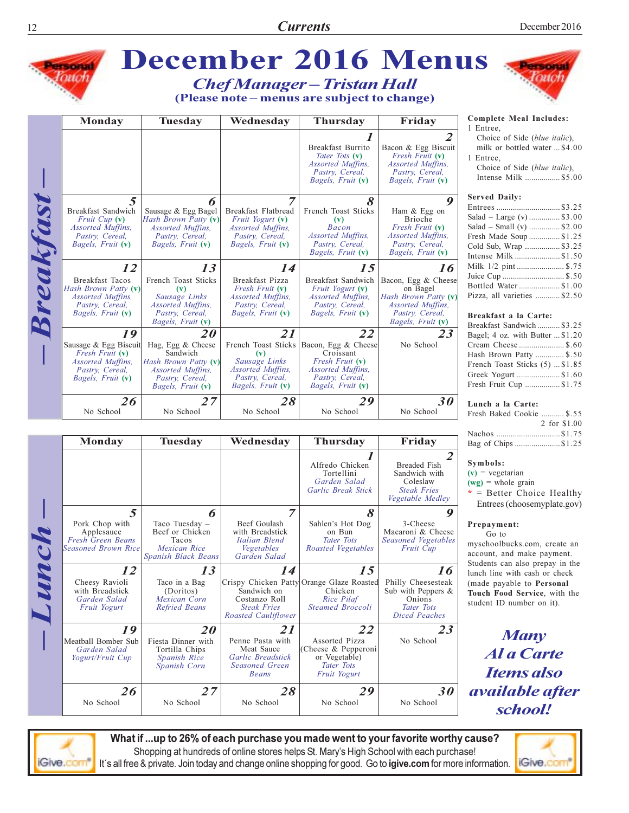

 $L$ unch $-$ 

|                                                                                      |                                                                                        |                                                                                             | <i>Guraen butuu</i><br>Garlic Break Stick                                                     | CORSIGN<br><b>Steak Fries</b><br>Vegetable Medley                                           |
|--------------------------------------------------------------------------------------|----------------------------------------------------------------------------------------|---------------------------------------------------------------------------------------------|-----------------------------------------------------------------------------------------------|---------------------------------------------------------------------------------------------|
| 5<br>Pork Chop with<br>Applesauce<br><b>Fresh Green Beans</b><br>Seasoned Brown Rice | 6<br>Taco Tuesday –<br>Beef or Chicken<br>Tacos<br>Mexican Rice<br>Spanish Black Beans | 7<br>Beef Goulash<br>with Breadstick<br>Italian Blend<br>Vegetables<br>Garden Salad         | 8<br>Sahlen's Hot Dog<br>on Bun<br><b>Tater Tots</b><br>Roasted Vegetables                    | 9<br>3-Cheese<br>Macaroni & Cheese<br>Seasoned Vegetables<br><i>Fruit Cup</i>               |
| 12                                                                                   | 13                                                                                     | 14                                                                                          | 15                                                                                            | 16                                                                                          |
| Cheesy Ravioli<br>with Breadstick<br>Garden Salad<br>Fruit Yogurt                    | Taco in a Bag<br>(Doritos)<br>Mexican Corn<br>Refried Beans                            | Sandwich on<br>Costanzo Roll<br><b>Steak Fries</b><br>Roasted Cauliflower                   | Crispy Chicken Patty Orange Glaze Roasted<br>Chicken<br>Rice Pilaf<br><b>Steamed Broccoli</b> | Philly Cheesesteak<br>Sub with Peppers $\&$<br>Onions<br>Tater Tots<br><b>Diced Peaches</b> |
| 19<br>Meatball Bomber Sub<br>Garden Salad<br>Yogurt/Fruit Cup                        | <b>20</b><br>Fiesta Dinner with<br>Tortilla Chips<br>Spanish Rice<br>Spanish Corn      | 21<br>Penne Pasta with<br>Meat Sauce<br>Garlic Breadstick<br><b>Seasoned Green</b><br>Beans | 22<br>Assorted Pizza<br>(Cheese & Pepperoni<br>or Vegetable)<br>Tater Tots<br>Fruit Yogurt    | 23<br>No School                                                                             |
| 26<br>No School                                                                      | 27<br>No School                                                                        | 28<br>No School                                                                             | 29<br>No School                                                                               | 30<br>No School                                                                             |





What if ...up to 26% of each purchase you made went to your favorite worthy cause? Shopping at hundreds of online stores helps St. Mary's High School with each purchase! It's all free & private. Join today and change online shopping for good. Go to igive.com for more information.

**Complete Meal Includes:** 

milk or bottled water ... \$4.00

Choice of Side (blue italic), Intense Milk ................. \$5.00

| $\sim$ $\sim$ $\sim$ $\sim$ $\sim$ $\sim$ $\sim$ $\sim$ |  |
|---------------------------------------------------------|--|
| Entrees\$3.25                                           |  |
| Salad – Large (v)  \$3.00                               |  |
| Salad – Small (v) \$2.00                                |  |
| Fresh Made Soup \$1.25                                  |  |
| Cold Sub, Wrap \$3.25                                   |  |
| Intense Milk \$1.50                                     |  |
| Milk 1/2 pint\$.75                                      |  |
| Juice Cup  \$.50                                        |  |
| Bottled Water\$1.00                                     |  |
| Pizza, all varieties \$2.50                             |  |
|                                                         |  |

| Breakfast Sandwich  \$3.25       |  |
|----------------------------------|--|
| Bagel; 4 oz. with Butter  \$1.20 |  |
| Cream Cheese  \$.60              |  |
| Hash Brown Patty  \$.50          |  |
| French Toast Sticks (5)  \$1.85  |  |
| Greek Yogurt \$1.60              |  |
| Fresh Fruit Cup \$1.75           |  |
|                                  |  |

Fresh Baked Cookie .......... \$.55 2 for \$1.00 Nachos .................................\$1.75 Bag of Chips ......................\$1.25

 $*$  = Better Choice Healthy Entrees (choosemyplate.gov)

myschoolbucks.com, create an account, and make payment. Students can also prepay in the lunch line with cash or check (made payable to Personal Touch Food Service, with the student ID number on it).

**Many Al a Carte Items also** *available after* 

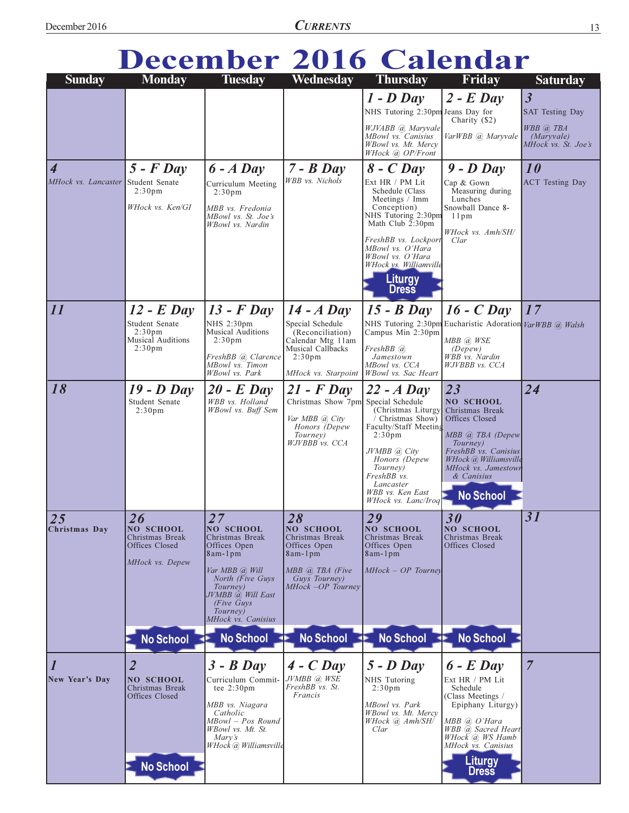| December 2016 Calendar |  |  |  |  |
|------------------------|--|--|--|--|
| ari mil will mil mo    |  |  |  |  |

| <b>Sunday</b>                      | <b>Monday</b>                                             | <b>Tuesday</b>                                                                             | Wednesday                                                        | <b>Thursday</b>                                                                    | Friday                                                                             | <b>Saturday</b>                                   |
|------------------------------------|-----------------------------------------------------------|--------------------------------------------------------------------------------------------|------------------------------------------------------------------|------------------------------------------------------------------------------------|------------------------------------------------------------------------------------|---------------------------------------------------|
|                                    |                                                           |                                                                                            |                                                                  | $1 - D$ Day<br>NHS Tutoring 2:30pm Jeans Day for                                   | $2$ - E Day<br>Charity (\$2)                                                       | $\overline{\mathbf{3}}$<br><b>SAT Testing Day</b> |
|                                    |                                                           |                                                                                            |                                                                  | WJVABB @ Maryvale<br>MBowl vs. Canisius<br>WBowl vs. Mt. Mercy<br>WHock @ OP/Front | VarWBB @ Maryvale                                                                  | WBB @ TBA<br>(Maryvale)<br>MHock vs. St. Joe's    |
| $\overline{4}$                     | $5$ - $F$ Day                                             | $6 - A$ Day                                                                                | $7 - B$ Day                                                      | $8$ - C Day                                                                        | $9$ - $D$ Day                                                                      | 10                                                |
| MHock vs. Lancaster Student Senate | 2:30 <sub>pm</sub>                                        | Curriculum Meeting<br>2:30 <sub>pm</sub>                                                   | WBB vs. Nichols                                                  | Ext HR / PM Lit<br>Schedule (Class                                                 | Cap & Gown<br>Measuring during                                                     | <b>ACT</b> Testing Day                            |
|                                    | WHock vs. Ken/GI                                          | MBB vs. Fredonia<br>MBowl vs. St. Joe's<br>WBowl vs. Nardin                                |                                                                  | Meetings / Imm<br>Conception)<br>NHS Tutoring 2:30pm<br>Math Club $2:30 \text{pm}$ | Lunches<br>Snowball Dance 8-<br>11pm                                               |                                                   |
|                                    |                                                           |                                                                                            |                                                                  | FreshBB vs. Lockport<br>MBowl vs. O'Hara<br>WBowl vs. O'Hara                       | WHock vs. Amh/SH/<br>Clar                                                          |                                                   |
|                                    |                                                           |                                                                                            |                                                                  | WHock vs. Williamville<br><b>Liturgy</b><br><b>Dress</b>                           |                                                                                    |                                                   |
| 11                                 | $12$ - E Day                                              | $13$ - $F$ Day                                                                             | $14 - A$ Day                                                     | $15 - B$ Day                                                                       | $16$ - $C$ Day                                                                     | 17                                                |
|                                    | Student Senate<br>2:30 <sub>pm</sub><br>Musical Auditions | NHS 2:30pm<br><b>Musical Auditions</b><br>2:30 <sub>pm</sub>                               | Special Schedule<br>(Reconciliation)<br>Calendar Mtg 11am        | Campus Min 2:30pm                                                                  | NHS Tutoring 2:30pm Eucharistic Adoration VarWBB @ Walsh<br>MBB @ WSE              |                                                   |
|                                    | 2:30 <sub>pm</sub>                                        | FreshBB (a) Clarence<br>MBowl vs. Timon<br>WBowl vs. Park                                  | Musical Callbacks<br>$2:30 \text{pm}$<br>MHock vs. Starpoint     | $FreshBB$ (a)<br>Jamestown<br>MBowl vs. CCA<br>WBowl vs. Sac Heart                 | (Depew)<br>WBB vs. Nardin<br>WJVBBB vs. CCA                                        |                                                   |
| 18                                 | $19 - D$ Day                                              | $20$ - E Day                                                                               | $21$ - F Day                                                     | $22 - A$ Day                                                                       | 23                                                                                 | 24                                                |
|                                    | Student Senate<br>2:30 <sub>pm</sub>                      | WBB vs. Holland<br>WBowl vs. Buff Sem                                                      | Christmas Show 7pm Special Schedule<br>Var MBB @ City            | (Christmas Liturgy<br>Christmas Show)                                              | NO SCHOOL<br>Christmas Break<br>Offices Closed                                     |                                                   |
|                                    |                                                           |                                                                                            | Honors (Depew<br>Tourney)<br>WJVBBB vs. CCA                      | Faculty/Staff Meeting<br>2:30 <sub>pm</sub>                                        | $MBB$ $@$ TBA (Depew)<br>Tourney)                                                  |                                                   |
|                                    |                                                           |                                                                                            |                                                                  | JVMBB @ City<br>Honors (Depew<br>Tourney)<br>FreshBB vs.                           | FreshBB vs. Canisius<br>WHock @ Williamsville<br>MHock vs. Jamestown<br>& Canisius |                                                   |
|                                    |                                                           |                                                                                            |                                                                  | Lancaster<br>WBB vs. Ken East<br>WHock vs. Lanc/Iroq                               | <b>No School</b>                                                                   |                                                   |
| $\overline{25}$<br>Christmas Day   | 26<br>NO SCHOOL                                           | 27<br>NO SCHOOL                                                                            | 28<br>NO SCHOOL                                                  | 29<br>NO SCHOOL                                                                    | 30<br>NO SCHOOL                                                                    | 31                                                |
|                                    | Christmas Break<br>Offices Closed<br>MHock vs. Depew      | Christmas Break<br>Offices Open<br>$8am-1pm$                                               | Christmas Break<br>Offices Open<br>8am-1pm                       | Christmas Break<br>Offices Open<br>8am-1pm                                         | Christmas Break<br>Offices Closed                                                  |                                                   |
|                                    |                                                           | Var MBB @, Will<br>North ( $\overline{F}$ <i>ive Guys</i><br>Tourney)<br>JVMBB @ Will East | $MBB$ $\omega$ , TBA (Five<br>Guys Tourney)<br>MHock -OP Tourney | $MHock-OP$ Tourney                                                                 |                                                                                    |                                                   |
|                                    |                                                           | (Five Guys)<br>Tourney)<br>MHock vs. Canisius                                              |                                                                  |                                                                                    |                                                                                    |                                                   |
|                                    | No School                                                 | <b>No School</b>                                                                           | <b>No School</b>                                                 | <b>No School</b>                                                                   | <b>No School</b>                                                                   |                                                   |
| $\overline{\mathfrak{1}}$          | 2                                                         | $3 - B$ Day                                                                                | $4 - C$ Day                                                      | $5 - D$ Day                                                                        | $6$ - $E$ Day                                                                      | $\overline{7}$                                    |
| New Year's Day                     | <b>NO SCHOOL</b><br>Christmas Break<br>Offices Closed     | Curriculum Commit-<br>tee $2:30 \text{pm}$                                                 | JVMBB @, WSE<br>FreshBB vs. St.<br>Francis                       | NHS Tutoring<br>2:30 <sub>pm</sub>                                                 | Ext HR / PM Lit<br>Schedule<br>(Class Meetings /                                   |                                                   |
|                                    |                                                           | MBB vs. Niagara<br>Catholic<br>MBowl - Pos Round                                           |                                                                  | MBowl vs. Park<br>WBowl vs. Mt. Mercy<br>WHock @ Amh/SH/                           | Epiphany Liturgy)<br>$MBB$ (a) $O'Hara$                                            |                                                   |
|                                    |                                                           | WBowl vs. Mt. St.<br>Mary's<br>WHock @ Williamsville                                       |                                                                  | Clar                                                                               | WBB @ Sacred Heart<br>WHock @ WS Hamb<br>MHock vs. Canisius                        |                                                   |
|                                    | <b>No School</b>                                          |                                                                                            |                                                                  |                                                                                    | <b>Liturgy</b><br><b>Dress</b>                                                     |                                                   |